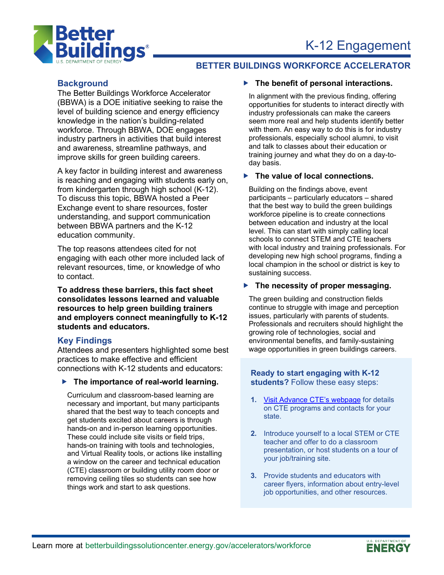



## **BETTER BUILDINGS WORKFORCE ACCELERATOR**

## **Background**

The Better Buildings Workforce Accelerator (BBWA) is a DOE initiative seeking to raise the level of building science and energy efficiency knowledge in the nation's building-related workforce. Through BBWA, DOE engages industry partners in activities that build interest and awareness, streamline pathways, and improve skills for green building careers.

A key factor in building interest and awareness is reaching and engaging with students early on, from kindergarten through high school (K-12). To discuss this topic, BBWA hosted a Peer Exchange event to share resources, foster understanding, and support communication between BBWA partners and the K-12 education community.

The top reasons attendees cited for not engaging with each other more included lack of relevant resources, time, or knowledge of who to contact.

**To address these barriers, this fact sheet consolidates lessons learned and valuable resources to help green building trainers and employers connect meaningfully to K-12 students and educators.** 

## **Key Findings**

Attendees and presenters highlighted some best practices to make effective and efficient connections with K-12 students and educators:

#### **The importance of real-world learning.**

Curriculum and classroom-based learning are necessary and important, but many participants shared that the best way to teach concepts and get students excited about careers is through hands-on and in-person learning opportunities. These could include site visits or field trips, hands-on training with tools and technologies, and Virtual Reality tools, or actions like installing a window on the career and technical education (CTE) classroom or building utility room door or removing ceiling tiles so students can see how things work and start to ask questions.

### **The benefit of personal interactions.**

In alignment with the previous finding, offering opportunities for students to interact directly with industry professionals can make the careers seem more real and help students identify better with them. An easy way to do this is for industry professionals, especially school alumni, to visit and talk to classes about their education or training journey and what they do on a day-today basis.

### **The value of local connections.**

Building on the findings above, event participants – particularly educators – shared that the best way to build the green buildings workforce pipeline is to create connections between education and industry at the local level. This can start with simply calling local schools to connect STEM and CTE teachers with local industry and training professionals. For developing new high school programs, finding a local champion in the school or district is key to sustaining success.

### **The necessity of proper messaging.**

The green building and construction fields continue to struggle with image and perception issues, particularly with parents of students. Professionals and recruiters should highlight the growing role of technologies, social and environmental benefits, and family-sustaining wage opportunities in green buildings careers.

### **Ready to start engaging with K-12 students?** Follow these easy steps:

- **1.** Visit Advance [CTE's webpage](https://careertech.org/cte-your-state) for details on CTE programs and contacts for your state.
- **2.** Introduce yourself to a local STEM or CTE teacher and offer to do a classroom presentation, or host students on a tour of your job/training site.
- **3.** Provide students and educators with career flyers, information about entry-level job opportunities, and other resources.